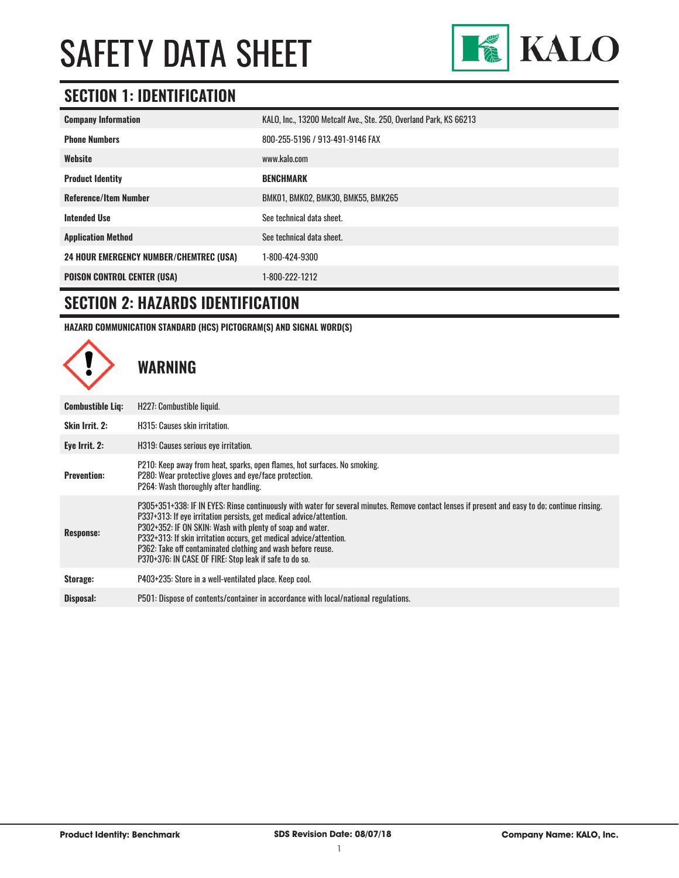

#### **SECTION 1: IDENTIFICATION**

| <b>Company Information</b>                     | KALO, Inc., 13200 Metcalf Ave., Ste. 250, Overland Park, KS 66213 |
|------------------------------------------------|-------------------------------------------------------------------|
| <b>Phone Numbers</b>                           | 800-255-5196 / 913-491-9146 FAX                                   |
| Website                                        | www.kalo.com                                                      |
| <b>Product Identity</b>                        | <b>BENCHMARK</b>                                                  |
| <b>Reference/Item Number</b>                   | BMK01, BMK02, BMK30, BMK55, BMK265                                |
| <b>Intended Use</b>                            | See technical data sheet.                                         |
| <b>Application Method</b>                      | See technical data sheet.                                         |
| <b>24 HOUR EMERGENCY NUMBER/CHEMTREC (USA)</b> | 1-800-424-9300                                                    |
| <b>POISON CONTROL CENTER (USA)</b>             | 1-800-222-1212                                                    |

#### **SECTION 2: HAZARDS IDENTIFICATION**

**HAZARD COMMUNICATION STANDARD (HCS) PICTOGRAM(S) AND SIGNAL WORD(S)**

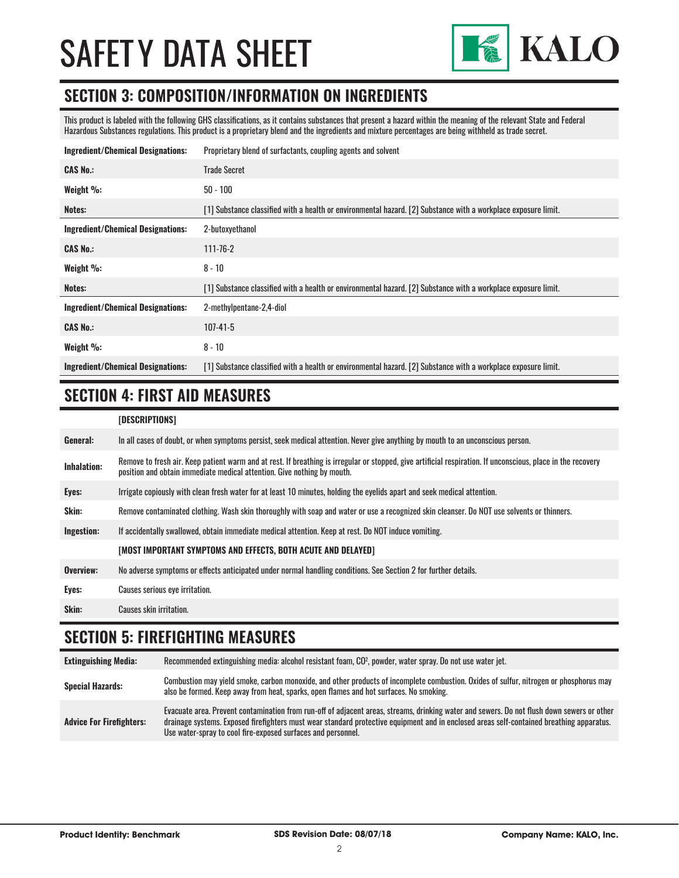

#### **SECTION 3: COMPOSITION/INFORMATION ON INGREDIENTS**

This product is labeled with the following GHS classifications, as it contains substances that present a hazard within the meaning of the relevant State and Federal Hazardous Substances regulations. This product is a proprietary blend and the ingredients and mixture percentages are being withheld as trade secret.

| <b>Ingredient/Chemical Designations:</b> | Proprietary blend of surfactants, coupling agents and solvent                                                  |
|------------------------------------------|----------------------------------------------------------------------------------------------------------------|
| <b>CAS No.:</b>                          | <b>Trade Secret</b>                                                                                            |
| Weight $\%$ :                            | $50 - 100$                                                                                                     |
| Notes:                                   | [1] Substance classified with a health or environmental hazard. [2] Substance with a workplace exposure limit. |
| <b>Ingredient/Chemical Designations:</b> | 2-butoxyethanol                                                                                                |
| <b>CAS No.:</b>                          | $111 - 76 - 2$                                                                                                 |
| Weight $\%$ :                            | $8 - 10$                                                                                                       |
| Notes:                                   | [1] Substance classified with a health or environmental hazard. [2] Substance with a workplace exposure limit. |
| <b>Ingredient/Chemical Designations:</b> | 2-methylpentane-2,4-diol                                                                                       |
| <b>CAS No.:</b>                          | $107 - 41 - 5$                                                                                                 |
| Weight %:                                | $8 - 10$                                                                                                       |
| <b>Ingredient/Chemical Designations:</b> | [1] Substance classified with a health or environmental hazard. [2] Substance with a workplace exposure limit. |

#### **SECTION 4: FIRST AID MEASURES**

| [DESCRIPTIONS] |
|----------------|
|----------------|

| General:           | In all cases of doubt, or when symptoms persist, seek medical attention. Never give anything by mouth to an unconscious person.                                                                                                         |
|--------------------|-----------------------------------------------------------------------------------------------------------------------------------------------------------------------------------------------------------------------------------------|
| <b>Inhalation:</b> | Remove to fresh air. Keep patient warm and at rest. If breathing is irregular or stopped, give artificial respiration. If unconscious, place in the recovery<br>position and obtain immediate medical attention. Give nothing by mouth. |
| Eyes:              | Irrigate copiously with clean fresh water for at least 10 minutes, holding the eyelids apart and seek medical attention.                                                                                                                |
| Skin:              | Remove contaminated clothing. Wash skin thoroughly with soap and water or use a recognized skin cleanser. Do NOT use solvents or thinners.                                                                                              |
| Ingestion:         | If accidentally swallowed, obtain immediate medical attention. Keep at rest, Do NOT induce vomiting.                                                                                                                                    |
|                    | [MOST IMPORTANT SYMPTOMS AND EFFECTS, BOTH ACUTE AND DELAYED]                                                                                                                                                                           |
| Overview:          | No adverse symptoms or effects anticipated under normal handling conditions. See Section 2 for further details.                                                                                                                         |
| Eyes:              | Causes serious eye irritation.                                                                                                                                                                                                          |
| Skin:              | Causes skin irritation.                                                                                                                                                                                                                 |

#### **SECTION 5: FIREFIGHTING MEASURES**

| <b>Extinguishing Media:</b>     | Recommended extinguishing media: alcohol resistant foam, CO <sup>2</sup> , powder, water spray. Do not use water jet.                                                                                                                                                                                                                                  |
|---------------------------------|--------------------------------------------------------------------------------------------------------------------------------------------------------------------------------------------------------------------------------------------------------------------------------------------------------------------------------------------------------|
| <b>Special Hazards:</b>         | Combustion may yield smoke, carbon monoxide, and other products of incomplete combustion. Oxides of sulfur, nitrogen or phosphorus may<br>also be formed. Keep away from heat, sparks, open flames and hot surfaces. No smoking.                                                                                                                       |
| <b>Advice For Firefighters:</b> | Evacuate area. Prevent contamination from run-off of adjacent areas, streams, drinking water and sewers. Do not flush down sewers or other<br>drainage systems. Exposed firefighters must wear standard protective equipment and in enclosed areas self-contained breathing apparatus.<br>Use water-spray to cool fire-exposed surfaces and personnel. |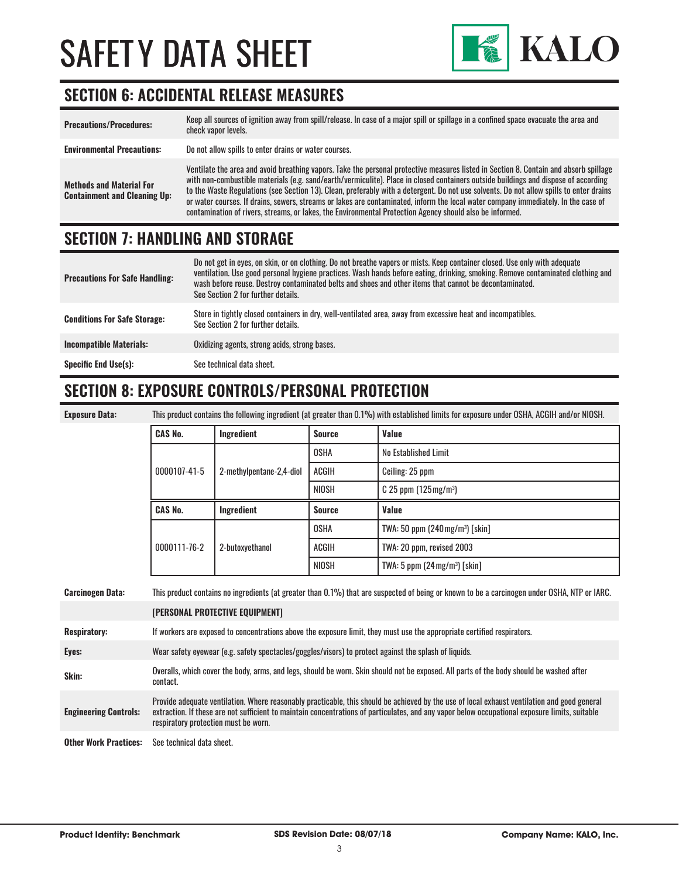

#### **SECTION 6: ACCIDENTAL RELEASE MEASURES**

| <b>Precautions/Procedures:</b>                                         | Keep all sources of ignition away from spill/release. In case of a major spill or spillage in a confined space evacuate the area and<br>check vapor levels.                                                                                                                                                                                                                                                                                                                                                                                                                                                                                                               |
|------------------------------------------------------------------------|---------------------------------------------------------------------------------------------------------------------------------------------------------------------------------------------------------------------------------------------------------------------------------------------------------------------------------------------------------------------------------------------------------------------------------------------------------------------------------------------------------------------------------------------------------------------------------------------------------------------------------------------------------------------------|
| <b>Environmental Precautions:</b>                                      | Do not allow spills to enter drains or water courses.                                                                                                                                                                                                                                                                                                                                                                                                                                                                                                                                                                                                                     |
| <b>Methods and Material For</b><br><b>Containment and Cleaning Up:</b> | Ventilate the area and avoid breathing vapors. Take the personal protective measures listed in Section 8. Contain and absorb spillage<br>with non-combustible materials (e.g. sand/earth/vermiculite). Place in closed containers outside buildings and dispose of according<br>to the Waste Regulations (see Section 13). Clean, preferably with a detergent. Do not use solvents. Do not allow spills to enter drains<br>or water courses. If drains, sewers, streams or lakes are contaminated, inform the local water company immediately. In the case of<br>contamination of rivers, streams, or lakes, the Environmental Protection Agency should also be informed. |

#### **SECTION 7: HANDLING AND STORAGE**

| <b>Precautions For Safe Handling:</b> | Do not get in eyes, on skin, or on clothing. Do not breathe vapors or mists. Keep container closed. Use only with adequate<br>ventilation. Use good personal hygiene practices. Wash hands before eating, drinking, smoking. Remove contaminated clothing and<br>wash before reuse. Destroy contaminated belts and shoes and other items that cannot be decontaminated.<br>See Section 2 for further details. |
|---------------------------------------|---------------------------------------------------------------------------------------------------------------------------------------------------------------------------------------------------------------------------------------------------------------------------------------------------------------------------------------------------------------------------------------------------------------|
| <b>Conditions For Safe Storage:</b>   | Store in tightly closed containers in dry, well-ventilated area, away from excessive heat and incompatibles.<br>See Section 2 for further details.                                                                                                                                                                                                                                                            |
| <b>Incompatible Materials:</b>        | Oxidizing agents, strong acids, strong bases.                                                                                                                                                                                                                                                                                                                                                                 |
| <b>Specific End Use(s):</b>           | See technical data sheet.                                                                                                                                                                                                                                                                                                                                                                                     |

#### **SECTION 8: EXPOSURE CONTROLS/PERSONAL PROTECTION**

| <b>Exposure Data</b> |  |
|----------------------|--|
|                      |  |

**Exposure Data:** This product contains the following ingredient (at greater than 0.1%) with established limits for exposure under OSHA, ACGIH and/or NIOSH.

| <b>CAS No.</b> | Ingredient               | <b>Source</b> | Value                                       |
|----------------|--------------------------|---------------|---------------------------------------------|
| 0000107-41-5   | 2-methylpentane-2,4-diol | OSHA          | No Established Limit                        |
|                |                          | ACGIH         | Ceiling: 25 ppm                             |
|                |                          | NIOSH         | $C$ 25 ppm (125 mg/m <sup>3</sup> )         |
|                |                          |               |                                             |
| <b>CAS No.</b> | Ingredient               | <b>Source</b> | Value                                       |
|                |                          | <b>OSHA</b>   | TWA: 50 ppm (240 mg/m <sup>3</sup> ) [skin] |
| 0000111-76-2   | 2-butoxyethanol          | <b>ACGIH</b>  | TWA: 20 ppm, revised 2003                   |

| <b>Carcinogen Data:</b>      | This product contains no ingredients (at greater than 0.1%) that are suspected of being or known to be a carcinogen under OSHA, NTP or IARC.                                                                                                                                                                                           |  |
|------------------------------|----------------------------------------------------------------------------------------------------------------------------------------------------------------------------------------------------------------------------------------------------------------------------------------------------------------------------------------|--|
|                              | [PERSONAL PROTECTIVE EQUIPMENT]                                                                                                                                                                                                                                                                                                        |  |
| <b>Respiratory:</b>          | If workers are exposed to concentrations above the exposure limit, they must use the appropriate certified respirators.                                                                                                                                                                                                                |  |
| Eyes:                        | Wear safety eyewear (e.g. safety spectacles/goggles/visors) to protect against the splash of liquids.                                                                                                                                                                                                                                  |  |
| Skin:                        | Overalls, which cover the body, arms, and legs, should be worn. Skin should not be exposed. All parts of the body should be washed after<br>contact.                                                                                                                                                                                   |  |
| <b>Engineering Controls:</b> | Provide adequate ventilation. Where reasonably practicable, this should be achieved by the use of local exhaust ventilation and good general<br>extraction. If these are not sufficient to maintain concentrations of particulates, and any vapor below occupational exposure limits, suitable<br>respiratory protection must be worn. |  |
| <b>Other Work Practices:</b> | See technical data sheet.                                                                                                                                                                                                                                                                                                              |  |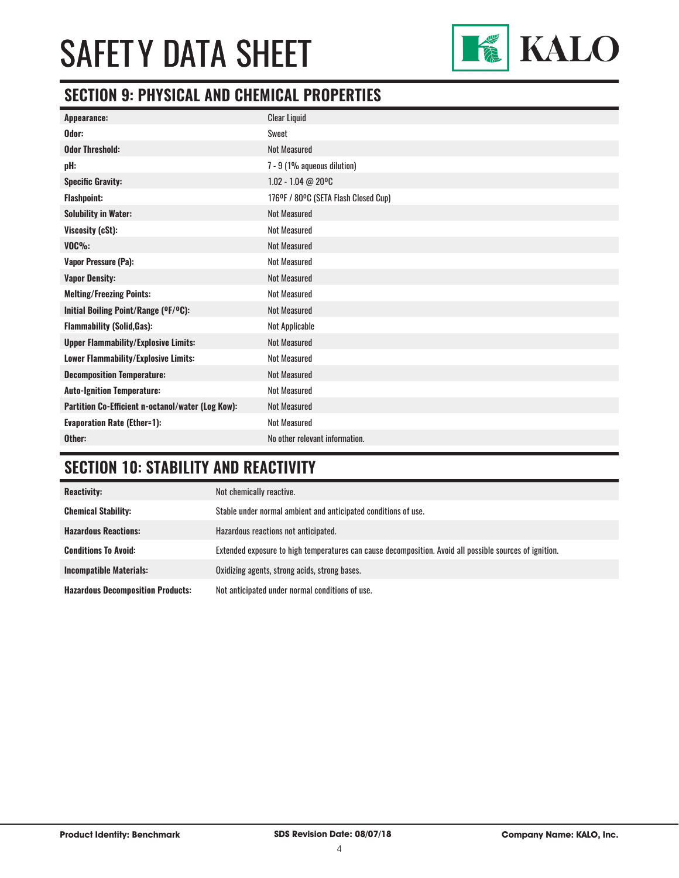

#### **SECTION 9: PHYSICAL AND CHEMICAL PROPERTIES**

| <b>Clear Liquid</b>                  |
|--------------------------------------|
| Sweet                                |
| <b>Not Measured</b>                  |
| 7 - 9 (1% aqueous dilution)          |
| 1.02 - 1.04 @ 20°C                   |
| 176°F / 80°C (SETA Flash Closed Cup) |
| <b>Not Measured</b>                  |
| <b>Not Measured</b>                  |
| <b>Not Measured</b>                  |
| <b>Not Measured</b>                  |
| <b>Not Measured</b>                  |
| <b>Not Measured</b>                  |
| <b>Not Measured</b>                  |
| Not Applicable                       |
| <b>Not Measured</b>                  |
| <b>Not Measured</b>                  |
| <b>Not Measured</b>                  |
| <b>Not Measured</b>                  |
| <b>Not Measured</b>                  |
| <b>Not Measured</b>                  |
| No other relevant information.       |
|                                      |

### **SECTION 10: STABILITY AND REACTIVITY**

| <b>Reactivity:</b>                       | Not chemically reactive.                                                                                |
|------------------------------------------|---------------------------------------------------------------------------------------------------------|
| <b>Chemical Stability:</b>               | Stable under normal ambient and anticipated conditions of use.                                          |
| <b>Hazardous Reactions:</b>              | Hazardous reactions not anticipated.                                                                    |
| <b>Conditions To Avoid:</b>              | Extended exposure to high temperatures can cause decomposition. Avoid all possible sources of ignition. |
| <b>Incompatible Materials:</b>           | Oxidizing agents, strong acids, strong bases.                                                           |
| <b>Hazardous Decomposition Products:</b> | Not anticipated under normal conditions of use.                                                         |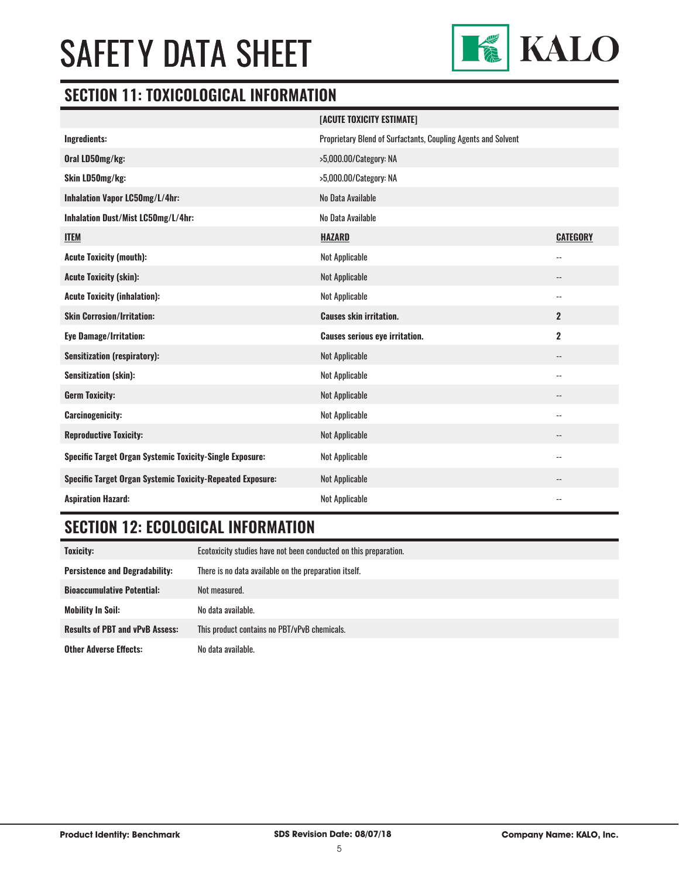

#### **SECTION 11: TOXICOLOGICAL INFORMATION**

|                                                                   | [ACUTE TOXICITY ESTIMATE]                                     |                 |
|-------------------------------------------------------------------|---------------------------------------------------------------|-----------------|
| Ingredients:                                                      | Proprietary Blend of Surfactants, Coupling Agents and Solvent |                 |
| Oral LD50mg/kg:                                                   | >5,000.00/Category: NA                                        |                 |
| Skin LD50mg/kg:                                                   | >5,000.00/Category: NA                                        |                 |
| Inhalation Vapor LC50mg/L/4hr:                                    | No Data Available                                             |                 |
| Inhalation Dust/Mist LC50mg/L/4hr:                                | No Data Available                                             |                 |
| <b>ITEM</b>                                                       | <b>HAZARD</b>                                                 | <b>CATEGORY</b> |
| <b>Acute Toxicity (mouth):</b>                                    | <b>Not Applicable</b>                                         | --              |
| <b>Acute Toxicity (skin):</b>                                     | <b>Not Applicable</b>                                         | --              |
| <b>Acute Toxicity (inhalation):</b>                               | <b>Not Applicable</b>                                         | --              |
| <b>Skin Corrosion/Irritation:</b>                                 | <b>Causes skin irritation.</b>                                | $\mathbf{2}$    |
| <b>Eye Damage/Irritation:</b>                                     | <b>Causes serious eye irritation.</b>                         | $\mathbf 2$     |
| <b>Sensitization (respiratory):</b>                               | <b>Not Applicable</b>                                         | --              |
| <b>Sensitization (skin):</b>                                      | <b>Not Applicable</b>                                         | --              |
| <b>Germ Toxicity:</b>                                             | <b>Not Applicable</b>                                         | --              |
| <b>Carcinogenicity:</b>                                           | <b>Not Applicable</b>                                         | --              |
| <b>Reproductive Toxicity:</b>                                     | <b>Not Applicable</b>                                         | --              |
| Specific Target Organ Systemic Toxicity-Single Exposure:          | <b>Not Applicable</b>                                         | --              |
| <b>Specific Target Organ Systemic Toxicity-Repeated Exposure:</b> | <b>Not Applicable</b>                                         | --              |
| <b>Aspiration Hazard:</b>                                         | <b>Not Applicable</b>                                         | $-$             |

### **SECTION 12: ECOLOGICAL INFORMATION**

| Toxicity:                              | Ecotoxicity studies have not been conducted on this preparation. |
|----------------------------------------|------------------------------------------------------------------|
| <b>Persistence and Degradability:</b>  | There is no data available on the preparation itself.            |
| <b>Bioaccumulative Potential:</b>      | Not measured.                                                    |
| <b>Mobility In Soil:</b>               | No data available.                                               |
| <b>Results of PBT and vPvB Assess:</b> | This product contains no PBT/vPvB chemicals.                     |
| <b>Other Adverse Effects:</b>          | No data available.                                               |